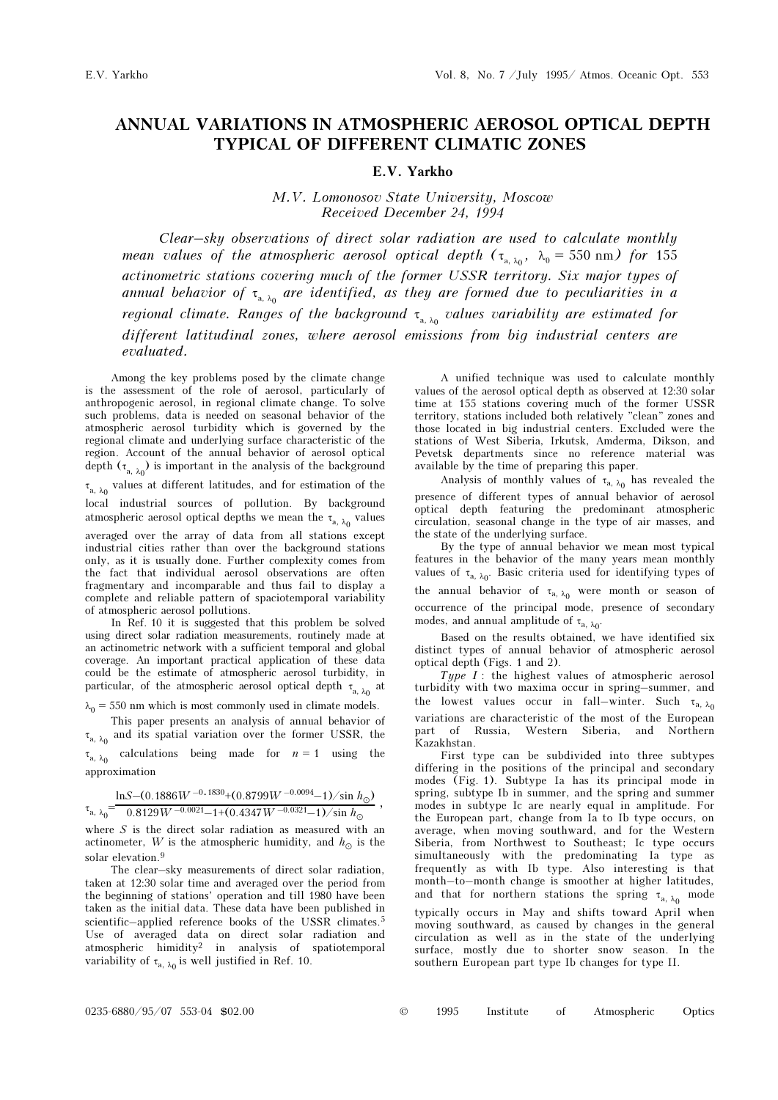## ANNUAL VARIATIONS IN ATMOSPHERIC AEROSOL OPTICAL DEPTH TYPICAL OF DIFFERENT CLIMATIC ZONES

## E.V. Yarkho

M.V. Lomonosov State University, Moscow Received December 24, 1994

Clear–sky observations of direct solar radiation are used to calculate monthly mean values of the atmospheric aerosol optical depth  $(\tau_{a,\lambda_0}, \lambda_0 = 550 \text{ nm})$  for 155 actinometric stations covering much of the former USSR territory. Six major types of annual behavior of  $\tau_{_{\rm a,\,\lambda_0}}$  are identified, as they are formed due to peculiarities in a regional climate. Ranges of the background  $\tau_{_{\text{a, }\lambda_{0}}}$  values variability are estimated for different latitudinal zones, where aerosol emissions from big industrial centers are evaluated.

Among the key problems posed by the climate change is the assessment of the role of aerosol, particularly of anthropogenic aerosol, in regional climate change. To solve such problems, data is needed on seasonal behavior of the atmospheric aerosol turbidity which is governed by the regional climate and underlying surface characteristic of the region. Account of the annual behavior of aerosol optical depth  $(\tau_{_{\rm a,\;\lambda_0}})$  is important in the analysis of the background  $\tau_{\rm a,\,\lambda_0}$  values at different latitudes, and for estimation of the local industrial sources of pollution. By background atmospheric aerosol optical depths we mean the  $\tau_{\rm a,\;\lambda_{0}}$  values averaged over the array of data from all stations except industrial cities rather than over the background stations only, as it is usually done. Further complexity comes from the fact that individual aerosol observations are often fragmentary and incomparable and thus fail to display a complete and reliable pattern of spaciotemporal variability of atmospheric aerosol pollutions.

In Ref. 10 it is suggested that this problem be solved using direct solar radiation measurements, routinely made at an actinometric network with a sufficient temporal and global coverage. An important practical application of these data could be the estimate of atmospheric aerosol turbidity, in particular, of the atmospheric aerosol optical depth  $\,\tau_{_{\rm a,\,\lambda_0}}$  at

 $\lambda_0 = 550$  nm which is most commonly used in climate models.

This paper presents an analysis of annual behavior of  $\tau_{a, \lambda_0}$  and its spatial variation over the former USSR, the  $\tau_{a, \lambda_0}$  calculations being made for  $n = 1$  using the approximation

$$
\tau_{\rm a,\;\lambda_0}\!\!=\!\!\frac{{\rm ln}S\!\!-\!\!\left(0.1886\,W^{\,-0.1830}\!\!+\!\left(0.8799\,W^{\,-0.0094}\!\!-\!1\right)\right)\!\!/\sin\,h_\odot)}{0.8129W^{\,-0.0021}\!\!-\!1\!+\!\left(0.4347\,W^{\,-0.0321}\!\!-\!1\right)\!\!/\sin\,h_\odot}\;,
$$

where  $S$  is the direct solar radiation as measured with an actinometer, W is the atmospheric humidity, and  $h_{\odot}$  is the solar elevation.<sup>9</sup>

The clear–sky measurements of direct solar radiation, taken at 12:30 solar time and averaged over the period from the beginning of stations' operation and till 1980 have been taken as the initial data. These data have been published in scientific–applied reference books of the USSR climates.<sup>5</sup> Use of averaged data on direct solar radiation and atmospheric himidity2 in analysis of spatiotemporal variability of  $\tau_{a, \lambda_0}$  is well justified in Ref. 10.

A unified technique was used to calculate monthly values of the aerosol optical depth as observed at 12:30 solar time at 155 stations covering much of the former USSR territory, stations included both relatively "clean" zones and those located in big industrial centers. Excluded were the stations of West Siberia, Irkutsk, Amderma, Dikson, and Pevetsk departments since no reference material was available by the time of preparing this paper.

Analysis of monthly values of  $\tau_{a, \lambda_0}$  has revealed the presence of different types of annual behavior of aerosol optical depth featuring the predominant atmospheric circulation, seasonal change in the type of air masses, and the state of the underlying surface.

By the type of annual behavior we mean most typical features in the behavior of the many years mean monthly values of  $\tau_{a, \lambda_0}$ . Basic criteria used for identifying types of the annual behavior of  $\tau_{a, \lambda_0}$  were month or season of occurrence of the principal mode, presence of secondary modes, and annual amplitude of  $\tau_{a, \lambda_0}$ .

Based on the results obtained, we have identified six distinct types of annual behavior of atmospheric aerosol optical depth (Figs. 1 and 2).

 $Type I$ : the highest values of atmospheric aerosol turbidity with two maxima occur in spring–summer, and the lowest values occur in fall–winter. Such  $\tau_{a, \lambda_0}$ variations are characteristic of the most of the European part of Russia, Western Siberia, and Northern Kazakhstan.

First type can be subdivided into three subtypes differing in the positions of the principal and secondary modes (Fig. 1). Subtype Ia has its principal mode in spring, subtype Ib in summer, and the spring and summer modes in subtype Ic are nearly equal in amplitude. For the European part, change from Ia to Ib type occurs, on average, when moving southward, and for the Western Siberia, from Northwest to Southeast; Ic type occurs simultaneously with the predominating Ia type as frequently as with Ib type. Also interesting is that month–to–month change is smoother at higher latitudes, and that for northern stations the spring  $\tau_{\rm a,\;\lambda_0}$  mode typically occurs in May and shifts toward April when moving southward, as caused by changes in the general circulation as well as in the state of the underlying surface, mostly due to shorter snow season. In the southern European part type Ib changes for type II.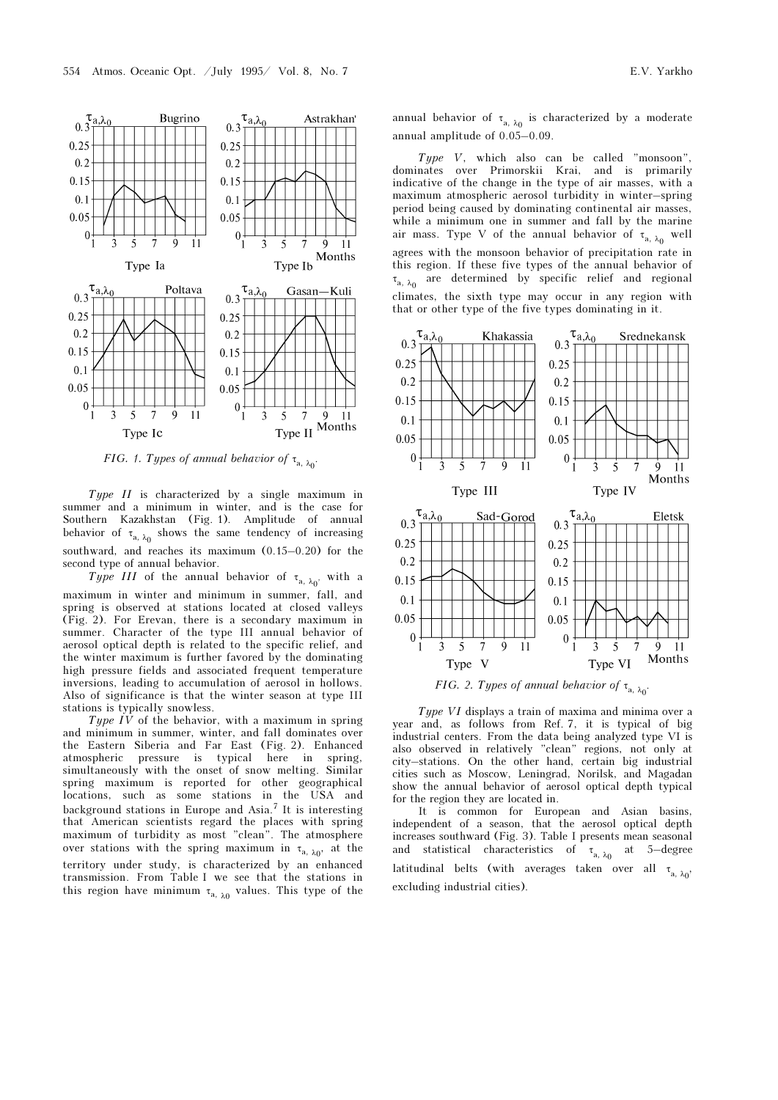

FIG. 1. Types of annual behavior of  $\tau_{a,\lambda_0}$ .

Type II is characterized by a single maximum in summer and a minimum in winter, and is the case for Southern Kazakhstan (Fig. 1). Amplitude of annual behavior of  $\tau_{a, \lambda_0}$  shows the same tendency of increasing southward, and reaches its maximum (0.15–0.20) for the second type of annual behavior.

Type III of the annual behavior of  $\tau_{a,\;\lambda_{0}'}$  with a maximum in winter and minimum in summer, fall, and spring is observed at stations located at closed valleys (Fig. 2). For Erevan, there is a secondary maximum in summer. Character of the type III annual behavior of aerosol optical depth is related to the specific relief, and the winter maximum is further favored by the dominating high pressure fields and associated frequent temperature inversions, leading to accumulation of aerosol in hollows. Also of significance is that the winter season at type III stations is typically snowless.

Type  $IV$  of the behavior, with a maximum in spring and minimum in summer, winter, and fall dominates over the Eastern Siberia and Far East (Fig. 2). Enhanced atmospheric pressure is typical here in spring, simultaneously with the onset of snow melting. Similar spring maximum is reported for other geographical locations, such as some stations in the USA and background stations in Europe and Asia.7 It is interesting that American scientists regard the places with spring maximum of turbidity as most "clean". The atmosphere over stations with the spring maximum in  $\tau_{a, \lambda_0}$ , at the territory under study, is characterized by an enhanced transmission. From Table I we see that the stations in this region have minimum  $\tau_{a, \lambda_0}$  values. This type of the

annual behavior of  $\tau_{\rm a,\;\lambda_0}$  is characterized by a moderate annual amplitude of 0.05–0.09.

Type V, which also can be called "monsoon", dominates over Primorskii Krai, and is primarily indicative of the change in the type of air masses, with a maximum atmospheric aerosol turbidity in winter–spring period being caused by dominating continental air masses, while a minimum one in summer and fall by the marine air mass. Type V of the annual behavior of  $\tau_{\text{a, }\lambda_0}$  well agrees with the monsoon behavior of precipitation rate in this region. If these five types of the annual behavior of  $\tau_{\rm a,\ \lambda_0}$  are determined by specific relief and regional climates, the sixth type may occur in any region with that or other type of the five types dominating in it.



FIG. 2. Types of annual behavior of  $\tau_{a, \lambda_0}$ .

Type VI displays a train of maxima and minima over a year and, as follows from Ref. 7, it is typical of big industrial centers. From the data being analyzed type VI is also observed in relatively "clean" regions, not only at city–stations. On the other hand, certain big industrial cities such as Moscow, Leningrad, Norilsk, and Magadan show the annual behavior of aerosol optical depth typical for the region they are located in.

It is common for European and Asian basins, independent of a season, that the aerosol optical depth increases southward (Fig. 3). Table I presents mean seasonal and statistical characteristics of  $\tau_{\rm a,\:\lambda_0}$  at 5—degree latitudinal belts (with averages taken over all  $\tau_{a, \lambda_0}$ , excluding industrial cities).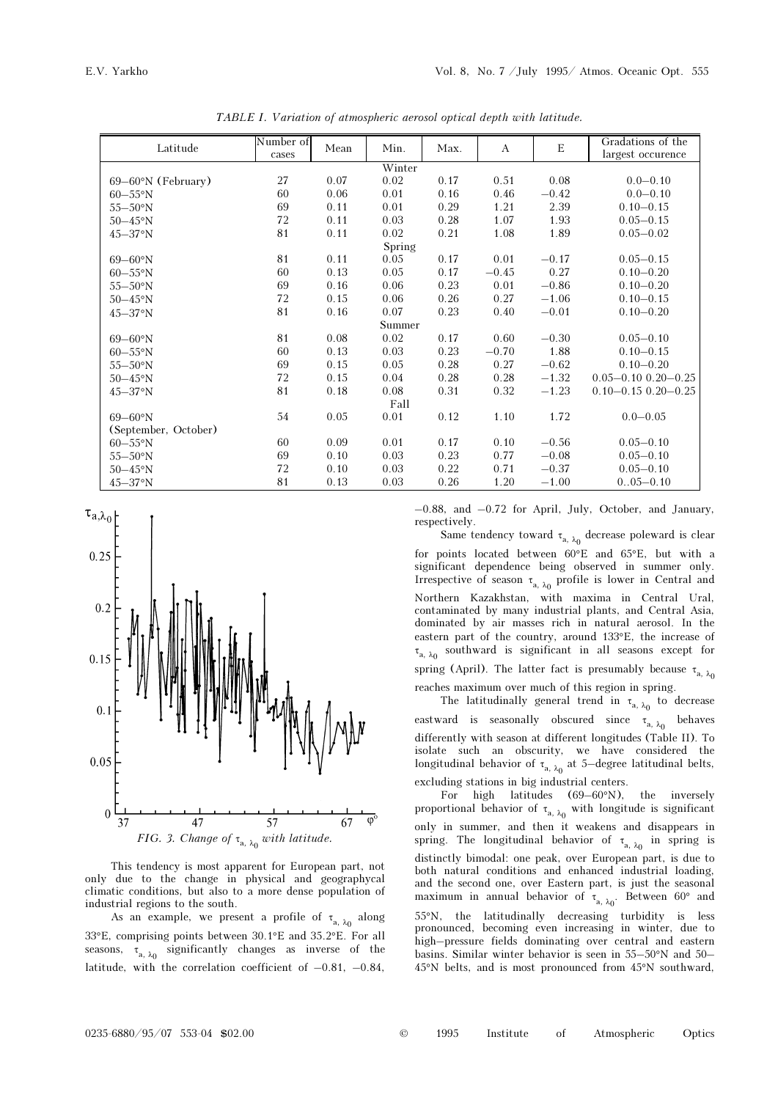| Latitude              | Number of | Mean | Min. | Max. | $\mathbf{A}$ | $\mathbf E$ | Gradations of the           |  |
|-----------------------|-----------|------|------|------|--------------|-------------|-----------------------------|--|
|                       | cases     |      |      |      |              |             | largest occurence           |  |
| Winter                |           |      |      |      |              |             |                             |  |
| $69-60$ °N (February) | 27        | 0.07 | 0.02 | 0.17 | 0.51         | 0.08        | $0.0 - 0.10$                |  |
| $60-55^{\circ}N$      | 60        | 0.06 | 0.01 | 0.16 | 0.46         | $-0.42$     | $0.0 - 0.10$                |  |
| $55-50$ °N            | 69        | 0.11 | 0.01 | 0.29 | 1.21         | 2.39        | $0.10 - 0.15$               |  |
| $50-45$ °N            | 72        | 0.11 | 0.03 | 0.28 | 1.07         | 1.93        | $0.05 - 0.15$               |  |
| $45 - 37$ °N          | 81        | 0.11 | 0.02 | 0.21 | 1.08         | 1.89        | $0.05 - 0.02$               |  |
| Spring                |           |      |      |      |              |             |                             |  |
| $69 - 60°N$           | 81        | 0.11 | 0.05 | 0.17 | 0.01         | $-0.17$     | $0.05 - 0.15$               |  |
| $60-55^\circ N$       | 60        | 0.13 | 0.05 | 0.17 | $-0.45$      | 0.27        | $0.10 - 0.20$               |  |
| $55-50$ °N            | 69        | 0.16 | 0.06 | 0.23 | 0.01         | $-0.86$     | $0.10 - 0.20$               |  |
| $50-45$ °N            | 72        | 0.15 | 0.06 | 0.26 | 0.27         | $-1.06$     | $0.10 - 0.15$               |  |
| $45 - 37$ °N          | 81        | 0.16 | 0.07 | 0.23 | 0.40         | $-0.01$     | $0.10 - 0.20$               |  |
| Summer                |           |      |      |      |              |             |                             |  |
| $69 - 60$ °N          | 81        | 0.08 | 0.02 | 0.17 | 0.60         | $-0.30$     | $0.05 - 0.10$               |  |
| $60-55^\circ N$       | 60        | 0.13 | 0.03 | 0.23 | $-0.70$      | 1.88        | $0.10 - 0.15$               |  |
| $55-50$ °N            | 69        | 0.15 | 0.05 | 0.28 | 0.27         | $-0.62$     | $0.10 - 0.20$               |  |
| $50-45$ °N            | 72        | 0.15 | 0.04 | 0.28 | 0.28         | $-1.32$     | $0.05 - 0.10$ $0.20 - 0.25$ |  |
| $45 - 37$ °N          | 81        | 0.18 | 0.08 | 0.31 | 0.32         | $-1.23$     | $0.10 - 0.15$ $0.20 - 0.25$ |  |
| Fall                  |           |      |      |      |              |             |                             |  |
| $69 - 60$ °N          | 54        | 0.05 | 0.01 | 0.12 | 1.10         | 1.72        | $0.0 - 0.05$                |  |
| (September, October)  |           |      |      |      |              |             |                             |  |
| $60-55^\circ N$       | 60        | 0.09 | 0.01 | 0.17 | 0.10         | $-0.56$     | $0.05 - 0.10$               |  |
| $55 - 50$ °N          | 69        | 0.10 | 0.03 | 0.23 | 0.77         | $-0.08$     | $0.05 - 0.10$               |  |
| $50-45$ °N            | 72        | 0.10 | 0.03 | 0.22 | 0.71         | $-0.37$     | $0.05 - 0.10$               |  |
| $45 - 37$ °N          | 81        | 0.13 | 0.03 | 0.26 | 1.20         | $-1.00$     | $0.05 - 0.10$               |  |

TABLE I. Variation of atmospheric aerosol optical depth with latitude.



This tendency is most apparent for European part, not only due to the change in physical and geographycal climatic conditions, but also to a more dense population of industrial regions to the south.

As an example, we present a profile of  $\tau_{\text{a, }\lambda_0}$  along 33°E, comprising points between 30.1°E and 35.2°E. For all seasons,  $\tau_{a, \lambda_0}$  significantly changes as inverse of the latitude, with the correlation coefficient of  $-0.81$ ,  $-0.84$ ,

–0.88, and –0.72 for April, July, October, and January, respectively.

Same tendency toward  $\tau_{\rm a,\;\lambda_0}$  decrease poleward is clear for points located between 60°E and 65°E, but with a significant dependence being observed in summer only. Irrespective of season  $\tau_{\rm a,\;\lambda_0}$  profile is lower in Central and Northern Kazakhstan, with maxima in Central Ural, contaminated by many industrial plants, and Central Asia, dominated by air masses rich in natural aerosol. In the eastern part of the country, around 133°E, the increase of  $\tau_{\rm a,\:\lambda_{0}}$  southward is significant in all seasons except for spring (April). The latter fact is presumably because  $\tau_{a, \lambda_0}$ reaches maximum over much of this region in spring.

The latitudinally general trend in  $\tau_{\rm a,\;\lambda_0}$  to decrease eastward is seasonally obscured since  $\tau_{\rm a,\;\lambda_0}$  behaves differently with season at different longitudes (Table II). To isolate such an obscurity, we have considered the longitudinal behavior of  $\tau_{\rm a,\;\lambda_0}$  at 5—degree latitudinal belts, excluding stations in big industrial centers.

For high latitudes (69–60°N), the inversely proportional behavior of  $\tau_{\rm a,\:\lambda_0}$  with longitude is significant only in summer, and then it weakens and disappears in spring. The longitudinal behavior of  $\tau_{a, \lambda_0}$  in spring is distinctly bimodal: one peak, over European part, is due to both natural conditions and enhanced industrial loading, and the second one, over Eastern part, is just the seasonal maximum in annual behavior of  $\tau_{a, \lambda_0}$ . Between 60° and 55°N, the latitudinally decreasing turbidity is less pronounced, becoming even increasing in winter, due to high–pressure fields dominating over central and eastern basins. Similar winter behavior is seen in 55–50°N and 50– 45°N belts, and is most pronounced from 45°N southward,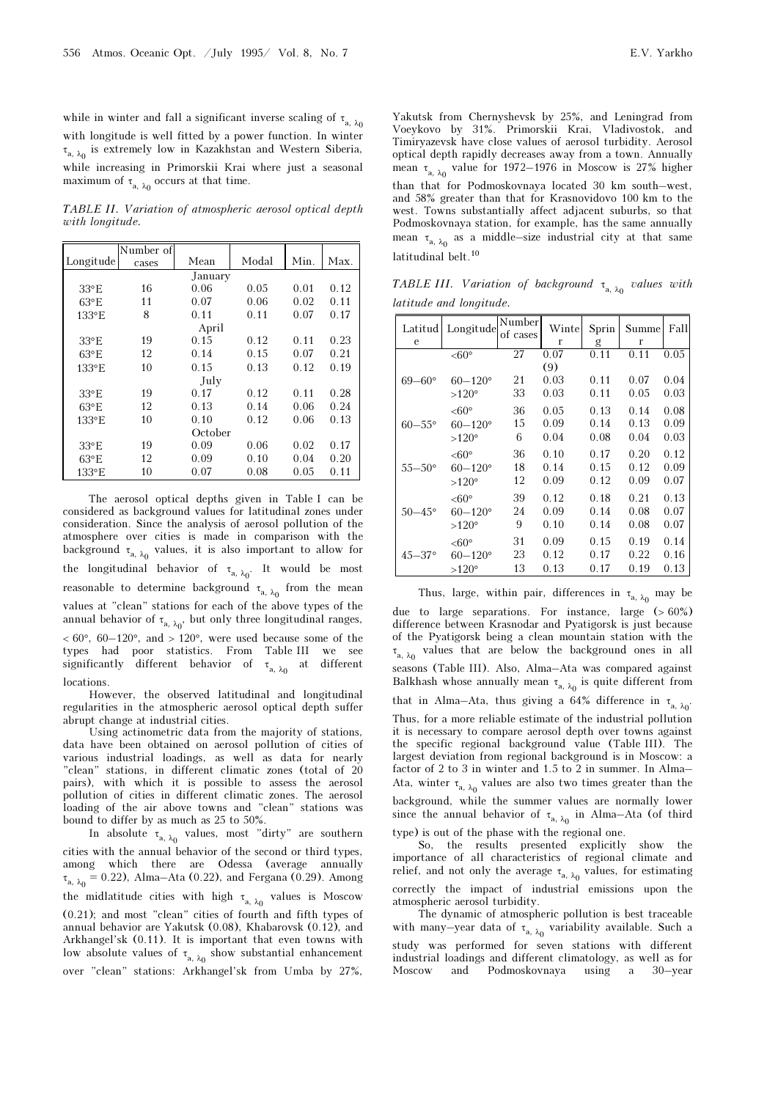while in winter and fall a significant inverse scaling of  $\tau_{a, \lambda_0}$ with longitude is well fitted by a power function. In winter  $\tau_{\rm a,\;\lambda_0}$  is extremely low in Kazakhstan and Western Siberia, while increasing in Primorskii Krai where just a seasonal maximum of  $\tau_{a, \lambda_0}$  occurs at that time.

TABLE II. Variation of atmospheric aerosol optical depth with longitude.

|                | Number of |      |       |      |      |  |  |  |
|----------------|-----------|------|-------|------|------|--|--|--|
| Longitude      | cases     | Mean | Modal | Min. | Max. |  |  |  |
| January        |           |      |       |      |      |  |  |  |
| $33^{\circ}E$  | 16        | 0.06 | 0.05  | 0.01 | 0.12 |  |  |  |
| $63^{\circ}E$  | 11        | 0.07 | 0.06  | 0.02 | 0.11 |  |  |  |
| 133°E          | 8         | 0.11 | 0.11  | 0.07 | 0.17 |  |  |  |
| April          |           |      |       |      |      |  |  |  |
| $33^{\circ}E$  | 19        | 0.15 | 0.12  | 0.11 | 0.23 |  |  |  |
| $63^{\circ}E$  | 12        | 0.14 | 0.15  | 0.07 | 0.21 |  |  |  |
| 133°E          | 10        | 0.15 | 0.13  | 0.12 | 0.19 |  |  |  |
| July           |           |      |       |      |      |  |  |  |
| $33^{\circ}E$  | 19        | 0.17 | 0.12  | 0.11 | 0.28 |  |  |  |
| $63^{\circ}E$  | 12        | 0.13 | 0.14  | 0.06 | 0.24 |  |  |  |
| $133^{\circ}E$ | 10        | 0.10 | 0.12  | 0.06 | 0.13 |  |  |  |
| October        |           |      |       |      |      |  |  |  |
| $33^{\circ}E$  | 19        | 0.09 | 0.06  | 0.02 | 0.17 |  |  |  |
| $63^{\circ}E$  | 12        | 0.09 | 0.10  | 0.04 | 0.20 |  |  |  |
| 133°E          | 10        | 0.07 | 0.08  | 0.05 | 0.11 |  |  |  |

The aerosol optical depths given in Table I can be considered as background values for latitudinal zones under consideration. Since the analysis of aerosol pollution of the atmosphere over cities is made in comparison with the background  $\tau_{a, \lambda_0}$  values, it is also important to allow for the longitudinal behavior of  $\tau_{a, \lambda_0}$  . It would be most reasonable to determine background  $\tau_{\rm a,\;\lambda_0}$  from the mean values at "clean" stations for each of the above types of the annual behavior of  $\tau_{\rm a,\;\lambda_{0}},$  but only three longitudinal ranges,  $< 60^{\circ}$ , 60-120°, and  $> 120^{\circ}$ , were used because some of the types had poor statistics. From Table III we see significantly different behavior of  $\tau_{_{\bf a,\;\lambda_0}}$  at different locations.

However, the observed latitudinal and longitudinal regularities in the atmospheric aerosol optical depth suffer abrupt change at industrial cities.

Using actinometric data from the majority of stations, data have been obtained on aerosol pollution of cities of various industrial loadings, as well as data for nearly "clean" stations, in different climatic zones (total of 20 pairs), with which it is possible to assess the aerosol pollution of cities in different climatic zones. The aerosol loading of the air above towns and "clean" stations was bound to differ by as much as 25 to 50%.

In absolute  $\tau_{\rm a,\;\lambda_0}$  values, most "dirty" are southern cities with the annual behavior of the second or third types, among which there are Odessa (average annually  $\tau_{a, \lambda_0} = 0.22$ ), Alma-Ata (0.22), and Fergana (0.29). Among the midlatitude cities with high  $\tau_{a, \lambda_0}$  values is Moscow (0.21); and most "clean" cities of fourth and fifth types of annual behavior are Yakutsk (0.08), Khabarovsk (0.12), and Arkhangel'sk (0.11). It is important that even towns with low absolute values of  $\tau_{\rm a,\;\lambda_0}$  show substantial enhancement over "clean" stations: Arkhangel'sk from Umba by 27%,

Yakutsk from Chernyshevsk by 25%, and Leningrad from Voeykovo by 31%. Primorskii Krai, Vladivostok, and Timiryazevsk have close values of aerosol turbidity. Aerosol optical depth rapidly decreases away from a town. Annually mean  $\tau_{a, \lambda_0}$  value for 1972–1976 in Moscow is 27% higher than that for Podmoskovnaya located 30 km south–west, and 58% greater than that for Krasnovidovo 100 km to the west. Towns substantially affect adjacent suburbs, so that Podmoskovnaya station, for example, has the same annually mean  $\tau_{a, \lambda_0}$  as a middle–size industrial city at that same latitudinal belt.<sup>10</sup>

TABLE III. Variation of background  $\tau_{a, \lambda_0}$  values with latitude and longitude.

| Latitud           | Longitude          | Number<br>of cases | Wintel | Sprin | Summe | Fall |
|-------------------|--------------------|--------------------|--------|-------|-------|------|
| e                 |                    |                    | r      | g     | r     |      |
|                   | $< 60^{\circ}$     | 27                 | 0.07   | 0.11  | 0.11  | 0.05 |
|                   |                    |                    | (9)    |       |       |      |
| $69 - 60^{\circ}$ | $60 - 120^{\circ}$ | 21                 | 0.03   | 0.11  | 0.07  | 0.04 |
|                   | $>120^\circ$       | 33                 | 0.03   | 0.11  | 0.05  | 0.03 |
| $60 - 55$ °       | $<60^{\circ}$      | 36                 | 0.05   | 0.13  | 0.14  | 0.08 |
|                   | $60 - 120^{\circ}$ | 15                 | 0.09   | 0.14  | 0.13  | 0.09 |
|                   | $>120^\circ$       | 6                  | 0.04   | 0.08  | 0.04  | 0.03 |
| $55 - 50^{\circ}$ | $< 60^{\circ}$     | 36                 | 0.10   | 0.17  | 0.20  | 0.12 |
|                   | $60 - 120^{\circ}$ | 18                 | 0.14   | 0.15  | 0.12  | 0.09 |
|                   | $>120^\circ$       | 12                 | 0.09   | 0.12  | 0.09  | 0.07 |
| $50 - 45^{\circ}$ | $<60^\circ$        | 39                 | 0.12   | 0.18  | 0.21  | 0.13 |
|                   | $60 - 120^{\circ}$ | 24                 | 0.09   | 0.14  | 0.08  | 0.07 |
|                   | $>120^\circ$       | 9                  | 0.10   | 0.14  | 0.08  | 0.07 |
| $45 - 37$ °       | $< 60^{\circ}$     | 31                 | 0.09   | 0.15  | 0.19  | 0.14 |
|                   | $60 - 120^{\circ}$ | 23                 | 0.12   | 0.17  | 0.22  | 0.16 |
|                   | $>120^\circ$       | 13                 | 0.13   | 0.17  | 0.19  | 0.13 |

Thus, large, within pair, differences in  $\tau_{a,\;\lambda_0}$  may be due to large separations. For instance, large  $(>60\%)$ difference between Krasnodar and Pyatigorsk is just because of the Pyatigorsk being a clean mountain station with the  $\tau_{\rm a,\:\lambda_{0}}$  values that are below the background ones in all seasons (Table III). Also, Alma–Ata was compared against Balkhash whose annually mean  $\tau_{_{\rm a,\;\lambda_0}}$  is quite different from that in Alma–Ata, thus giving a 64% difference in  $\tau_{a, \lambda_0}$ . Thus, for a more reliable estimate of the industrial pollution it is necessary to compare aerosol depth over towns against the specific regional background value (Table III). The largest deviation from regional background is in Moscow: a factor of 2 to 3 in winter and 1.5 to 2 in summer. In Alma– Ata, winter  $\tau_{\rm a,\:\lambda_{0}}$  values are also two times greater than the background, while the summer values are normally lower since the annual behavior of  $\tau_{\rm a,\:\lambda_0}$  in Alma–Ata (of third type) is out of the phase with the regional one.

So, the results presented explicitly show the importance of all characteristics of regional climate and relief, and not only the average  $\tau_{\rm a,\;\lambda_0}$  values, for estimating correctly the impact of industrial emissions upon the atmospheric aerosol turbidity.

The dynamic of atmospheric pollution is best traceable with many—year data of  $\tau_{\rm a,\:\lambda_0}$  variability available. Such a study was performed for seven stations with different industrial loadings and different climatology, as well as for Moscow and Podmoskovnaya using a 30–year